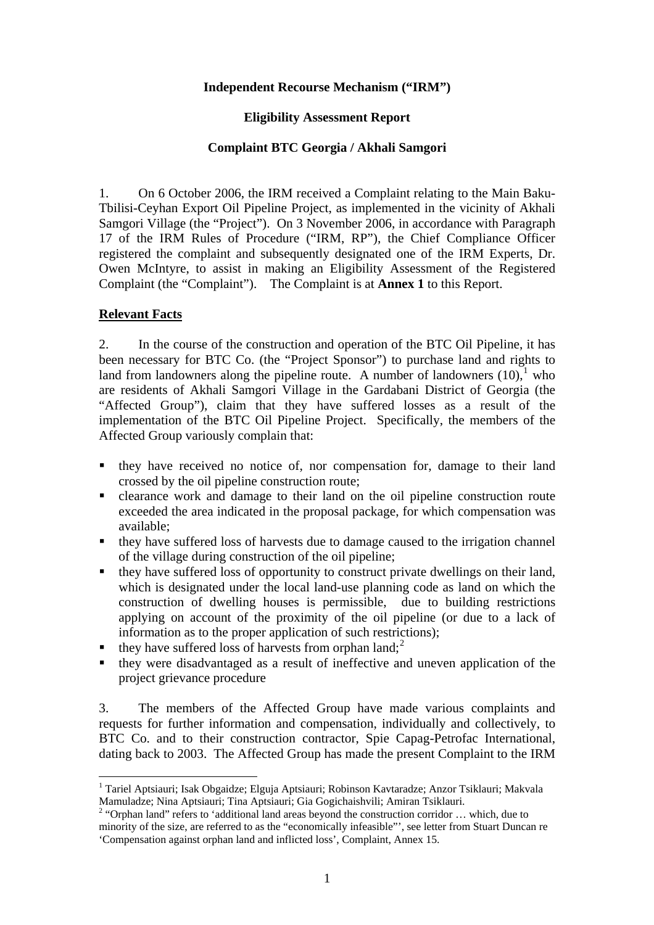## **Independent Recourse Mechanism ("IRM")**

## **Eligibility Assessment Report**

## **Complaint BTC Georgia / Akhali Samgori**

1. On 6 October 2006, the IRM received a Complaint relating to the Main Baku-Tbilisi-Ceyhan Export Oil Pipeline Project, as implemented in the vicinity of Akhali Samgori Village (the "Project"). On 3 November 2006, in accordance with Paragraph 17 of the IRM Rules of Procedure ("IRM, RP"), the Chief Compliance Officer registered the complaint and subsequently designated one of the IRM Experts, Dr. Owen McIntyre, to assist in making an Eligibility Assessment of the Registered Complaint (the "Complaint"). The Complaint is at **Annex 1** to this Report.

# **Relevant Facts**

 $\overline{a}$ 

2. In the course of the construction and operation of the BTC Oil Pipeline, it has been necessary for BTC Co. (the "Project Sponsor") to purchase land and rights to land from landowners along the pipeline route. A number of landowners  $(10)$ , who are residents of Akhali Samgori Village in the Gardabani District of Georgia (the "Affected Group"), claim that they have suffered losses as a result of the implementation of the BTC Oil Pipeline Project. Specifically, the members of the Affected Group variously complain that:

- they have received no notice of, nor compensation for, damage to their land crossed by the oil pipeline construction route;
- clearance work and damage to their land on the oil pipeline construction route exceeded the area indicated in the proposal package, for which compensation was available;
- they have suffered loss of harvests due to damage caused to the irrigation channel of the village during construction of the oil pipeline;
- they have suffered loss of opportunity to construct private dwellings on their land, which is designated under the local land-use planning code as land on which the construction of dwelling houses is permissible, due to building restrictions applying on account of the proximity of the oil pipeline (or due to a lack of information as to the proper application of such restrictions);
- $\blacksquare$  they have suffered loss of harvests from orphan land;<sup>2</sup>
- they were disadvantaged as a result of ineffective and uneven application of the project grievance procedure

3. The members of the Affected Group have made various complaints and requests for further information and compensation, individually and collectively, to BTC Co. and to their construction contractor, Spie Capag-Petrofac International, dating back to 2003. The Affected Group has made the present Complaint to the IRM

<sup>&</sup>lt;sup>1</sup> Tariel Aptsiauri; Isak Obgaidze; Elguja Aptsiauri; Robinson Kavtaradze; Anzor Tsiklauri; Makvala Mamuladze; Nina Aptsiauri; Tina Aptsiauri; Gia Gogichaishvili; Amiran Tsiklauri.

<sup>&</sup>lt;sup>2</sup> "Orphan land" refers to 'additional land areas beyond the construction corridor  $\dots$  which, due to minority of the size, are referred to as the "economically infeasible"', see letter from Stuart Duncan re 'Compensation against orphan land and inflicted loss', Complaint, Annex 15.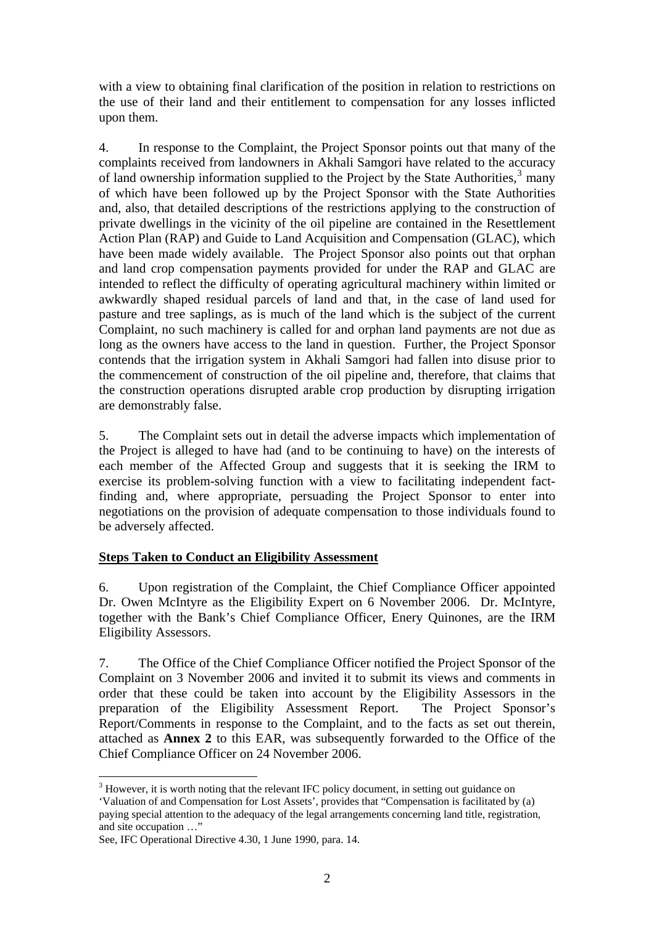with a view to obtaining final clarification of the position in relation to restrictions on the use of their land and their entitlement to compensation for any losses inflicted upon them.

4. In response to the Complaint, the Project Sponsor points out that many of the complaints received from landowners in Akhali Samgori have related to the accuracy of land ownership information supplied to the Project by the State Authorities, $3$  many of which have been followed up by the Project Sponsor with the State Authorities and, also, that detailed descriptions of the restrictions applying to the construction of private dwellings in the vicinity of the oil pipeline are contained in the Resettlement Action Plan (RAP) and Guide to Land Acquisition and Compensation (GLAC), which have been made widely available. The Project Sponsor also points out that orphan and land crop compensation payments provided for under the RAP and GLAC are intended to reflect the difficulty of operating agricultural machinery within limited or awkwardly shaped residual parcels of land and that, in the case of land used for pasture and tree saplings, as is much of the land which is the subject of the current Complaint, no such machinery is called for and orphan land payments are not due as long as the owners have access to the land in question. Further, the Project Sponsor contends that the irrigation system in Akhali Samgori had fallen into disuse prior to the commencement of construction of the oil pipeline and, therefore, that claims that the construction operations disrupted arable crop production by disrupting irrigation are demonstrably false.

5. The Complaint sets out in detail the adverse impacts which implementation of the Project is alleged to have had (and to be continuing to have) on the interests of each member of the Affected Group and suggests that it is seeking the IRM to exercise its problem-solving function with a view to facilitating independent factfinding and, where appropriate, persuading the Project Sponsor to enter into negotiations on the provision of adequate compensation to those individuals found to be adversely affected.

# **Steps Taken to Conduct an Eligibility Assessment**

6. Upon registration of the Complaint, the Chief Compliance Officer appointed Dr. Owen McIntyre as the Eligibility Expert on 6 November 2006. Dr. McIntyre, together with the Bank's Chief Compliance Officer, Enery Quinones, are the IRM Eligibility Assessors.

7. The Office of the Chief Compliance Officer notified the Project Sponsor of the Complaint on 3 November 2006 and invited it to submit its views and comments in order that these could be taken into account by the Eligibility Assessors in the preparation of the Eligibility Assessment Report. The Project Sponsor's Report/Comments in response to the Complaint, and to the facts as set out therein, attached as **Annex 2** to this EAR, was subsequently forwarded to the Office of the Chief Compliance Officer on 24 November 2006.

 $3$  However, it is worth noting that the relevant IFC policy document, in setting out guidance on

<span id="page-1-0"></span><sup>&#</sup>x27;Valuation of and Compensation for Lost Assets', provides that "Compensation is facilitated by (a) paying special attention to the adequacy of the legal arrangements concerning land title, registration, and site occupation …"

See, IFC Operational Directive 4.30, 1 June 1990, para. 14.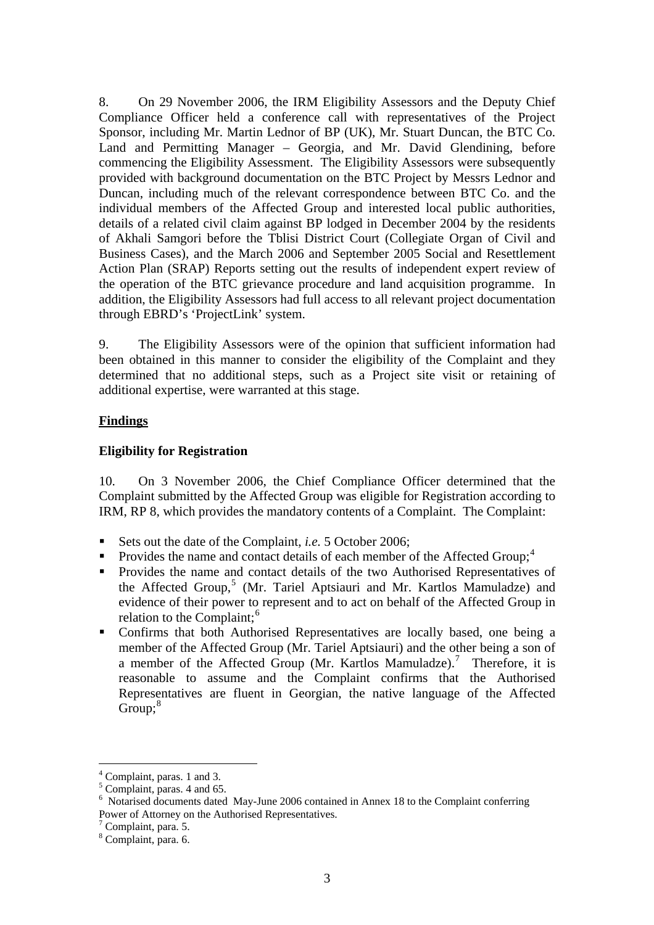8. On 29 November 2006, the IRM Eligibility Assessors and the Deputy Chief Compliance Officer held a conference call with representatives of the Project Sponsor, including Mr. Martin Lednor of BP (UK), Mr. Stuart Duncan, the BTC Co. Land and Permitting Manager – Georgia, and Mr. David Glendining, before commencing the Eligibility Assessment. The Eligibility Assessors were subsequently provided with background documentation on the BTC Project by Messrs Lednor and Duncan, including much of the relevant correspondence between BTC Co. and the individual members of the Affected Group and interested local public authorities, details of a related civil claim against BP lodged in December 2004 by the residents of Akhali Samgori before the Tblisi District Court (Collegiate Organ of Civil and Business Cases), and the March 2006 and September 2005 Social and Resettlement Action Plan (SRAP) Reports setting out the results of independent expert review of the operation of the BTC grievance procedure and land acquisition programme. In addition, the Eligibility Assessors had full access to all relevant project documentation through EBRD's 'ProjectLink' system.

9. The Eligibility Assessors were of the opinion that sufficient information had been obtained in this manner to consider the eligibility of the Complaint and they determined that no additional steps, such as a Project site visit or retaining of additional expertise, were warranted at this stage.

# **Findings**

## **Eligibility for Registration**

10. On 3 November 2006, the Chief Compliance Officer determined that the Complaint submitted by the Affected Group was eligible for Registration according to IRM, RP 8, which provides the mandatory contents of a Complaint. The Complaint:

- Sets out the date of the Complaint, *i.e.* 5 October 2006;
- Provides the name and contact details of each member of the Affected Group;<sup>4</sup>
- **Provides the name and contact details of the two Authorised Representatives of** the Affected Group,<sup>5</sup> (Mr. Tariel Aptsiauri and Mr. Kartlos Mamuladze) and evidence of their power to represent and to act on behalf of the Affected Group in relation to the Complaint; $^6$
- Confirms that both Authorised Representatives are locally based, one being a member of the Affected Group (Mr. Tariel Aptsiauri) and the other being a son of a member of the Affected Group (Mr. Kartlos Mamuladze).<sup>7</sup> Therefore, it is reasonable to assume and the Complaint confirms that the Authorised Representatives are fluent in Georgian, the native language of the Affected  $Group;<sup>8</sup>$

 $<sup>4</sup>$  Complaint, paras. 1 and 3.</sup>

 $<sup>5</sup>$  Complaint, paras. 4 and 65.</sup>

 $6$  Notarised documents dated May-June 2006 contained in Annex 18 to the Complaint conferring Power of Attorney on the Authorised Representatives.

 $7$  Complaint, para. 5.

<sup>&</sup>lt;sup>8</sup> Complaint, para. 6.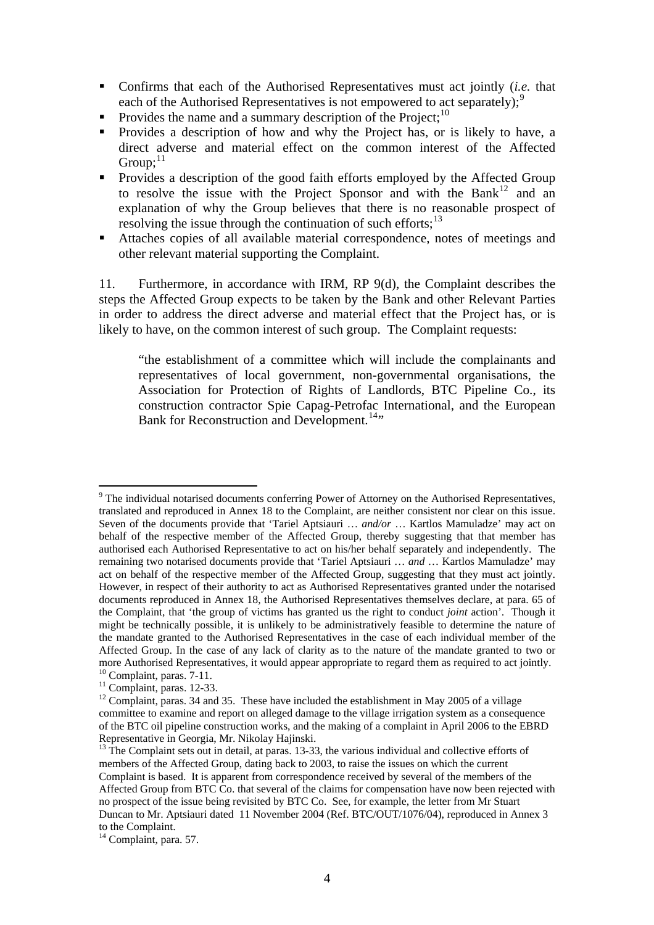- Confirms that each of the Authorised Representatives must act jointly (*i.e.* that each of the Authorised Representatives is not empowered to act separately);<sup>9</sup>
- Provides the name and a summary description of the Project;<sup>10</sup>
- Provides a description of how and why the Project has, or is likely to have, a direct adverse and material effect on the common interest of the Affected Group; $^{11}$
- **Provides a description of the good faith efforts employed by the Affected Group** to resolve the issue with the Project Sponsor and with the Bank<sup>12</sup> and an explanation of why the Group believes that there is no reasonable prospect of resolving the issue through the continuation of such efforts; $^{13}$
- Attaches copies of all available material correspondence, notes of meetings and other relevant material supporting the Complaint.

11. Furthermore, in accordance with IRM, RP 9(d), the Complaint describes the steps the Affected Group expects to be taken by the Bank and other Relevant Parties in order to address the direct adverse and material effect that the Project has, or is likely to have, on the common interest of such group. The Complaint requests:

"the establishment of a committee which will include the complainants and representatives of local government, non-governmental organisations, the Association for Protection of Rights of Landlords, BTC Pipeline Co., its construction contractor Spie Capag-Petrofac International, and the European Bank for Reconstruction and Development.<sup>14</sup><sup>14</sup>

 $9$  The individual notarised documents conferring Power of Attorney on the Authorised Representatives, translated and reproduced in Annex 18 to the Complaint, are neither consistent nor clear on this issue. Seven of the documents provide that 'Tariel Aptsiauri … *and/or* … Kartlos Mamuladze' may act on behalf of the respective member of the Affected Group, thereby suggesting that that member has authorised each Authorised Representative to act on his/her behalf separately and independently. The remaining two notarised documents provide that 'Tariel Aptsiauri … *and* … Kartlos Mamuladze' may act on behalf of the respective member of the Affected Group, suggesting that they must act jointly. However, in respect of their authority to act as Authorised Representatives granted under the notarised documents reproduced in Annex 18, the Authorised Representatives themselves declare, at para. 65 of the Complaint, that 'the group of victims has granted us the right to conduct *joint* action'. Though it might be technically possible, it is unlikely to be administratively feasible to determine the nature of the mandate granted to the Authorised Representatives in the case of each individual member of the Affected Group. In the case of any lack of clarity as to the nature of the mandate granted to two or more Authorised Representatives, it would appear appropriate to regard them as required to act jointly.  $10$  Complaint, paras.  $7-11$ .

 $11$  Complaint, paras. 12-33.

 $12$  Complaint, paras. 34 and 35. These have included the establishment in May 2005 of a village committee to examine and report on alleged damage to the village irrigation system as a consequence of the BTC oil pipeline construction works, and the making of a complaint in April 2006 to the EBRD Representative in Georgia, Mr. Nikolay Hajinski.

 $13$  The Complaint sets out in detail, at paras. 13-33, the various individual and collective efforts of members of the Affected Group, dating back to 2003, to raise the issues on which the current Complaint is based. It is apparent from correspondence received by several of the members of the Affected Group from BTC Co. that several of the claims for compensation have now been rejected with no prospect of the issue being revisited by BTC Co. See, for example, the letter from Mr Stuart Duncan to Mr. Aptsiauri dated 11 November 2004 (Ref. BTC/OUT/1076/04), reproduced in Annex 3 to the Complaint.

 $14$  Complaint, para. 57.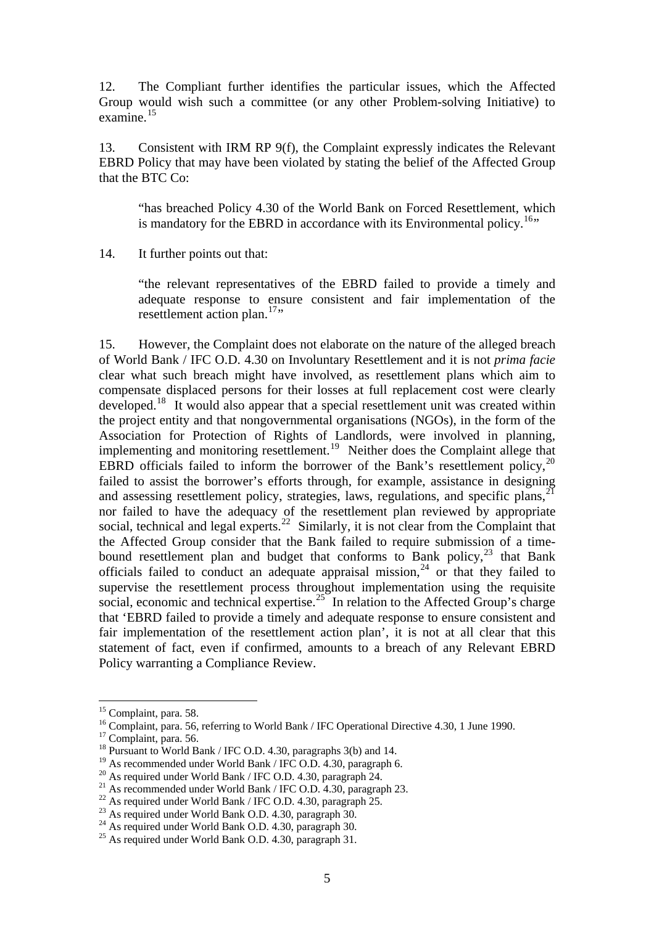12. The Compliant further identifies the particular issues, which the Affected Group would wish such a committee (or any other Problem-solving Initiative) to examine.[15](#page-4-0)

13. Consistent with IRM RP 9(f), the Complaint expressly indicates the Relevant EBRD Policy that may have been violated by stating the belief of the Affected Group that the BTC Co:

"has breached Policy 4.30 of the World Bank on Forced Resettlement, which is mandatory for the EBRD in accordance with its Environmental policy.<sup>[16](#page-4-1)</sup>"

14. It further points out that:

"the relevant representatives of the EBRD failed to provide a timely and adequate response to ensure consistent and fair implementation of the resettlement action plan. $17$ <sup>17</sup>"

15. However, the Complaint does not elaborate on the nature of the alleged breach of World Bank / IFC O.D. 4.30 on Involuntary Resettlement and it is not *prima facie*  clear what such breach might have involved, as resettlement plans which aim to compensate displaced persons for their losses at full replacement cost were clearly developed.[18](#page-4-3) It would also appear that a special resettlement unit was created within the project entity and that nongovernmental organisations (NGOs), in the form of the Association for Protection of Rights of Landlords, were involved in planning, implementing and monitoring resettlement.<sup>[19](#page-4-4)</sup> Neither does the Complaint allege that EBRD officials failed to inform the borrower of the Bank's resettlement policy,  $^{20}$  $^{20}$  $^{20}$ failed to assist the borrower's efforts through, for example, assistance in designing and assessing resettlement policy, strategies, laws, regulations, and specific plans.<sup>2</sup> nor failed to have the adequacy of the resettlement plan reviewed by appropriate social, technical and legal experts.<sup>[22](#page-4-7)</sup> Similarly, it is not clear from the Complaint that the Affected Group consider that the Bank failed to require submission of a timebound resettlement plan and budget that conforms to Bank policy, $23$  that Bank officials failed to conduct an adequate appraisal mission, $24$  or that they failed to supervise the resettlement process throughout implementation using the requisite social, economic and technical expertise.<sup>[25](#page-4-10)</sup> In relation to the Affected Group's charge that 'EBRD failed to provide a timely and adequate response to ensure consistent and fair implementation of the resettlement action plan', it is not at all clear that this statement of fact, even if confirmed, amounts to a breach of any Relevant EBRD Policy warranting a Compliance Review.

<sup>&</sup>lt;sup>15</sup> Complaint, para. 58.

<span id="page-4-1"></span><span id="page-4-0"></span><sup>&</sup>lt;sup>16</sup> Complaint, para. 56, referring to World Bank / IFC Operational Directive 4.30, 1 June 1990.<br><sup>17</sup> Complaint, para. 56.

<span id="page-4-3"></span><span id="page-4-2"></span><sup>&</sup>lt;sup>18</sup> Pursuant to World Bank / IFC O.D. 4.30, paragraphs 3(b) and 14.

<span id="page-4-4"></span><sup>&</sup>lt;sup>19</sup> As recommended under World Bank / IFC O.D. 4.30, paragraph 6.

<span id="page-4-5"></span><sup>&</sup>lt;sup>20</sup> As required under World Bank / IFC O.D. 4.30, paragraph 24.

<span id="page-4-6"></span><sup>&</sup>lt;sup>21</sup> As recommended under World Bank / IFC O.D. 4.30, paragraph 23.

<span id="page-4-7"></span><sup>&</sup>lt;sup>22</sup> As required under World Bank / IFC O.D. 4.30, paragraph 25.

<sup>&</sup>lt;sup>23</sup> As required under World Bank O.D. 4.30, paragraph 30.

<span id="page-4-9"></span><span id="page-4-8"></span> $^{24}$  As required under World Bank O.D. 4.30, paragraph 30.

<span id="page-4-10"></span><sup>25</sup> As required under World Bank O.D. 4.30, paragraph 31.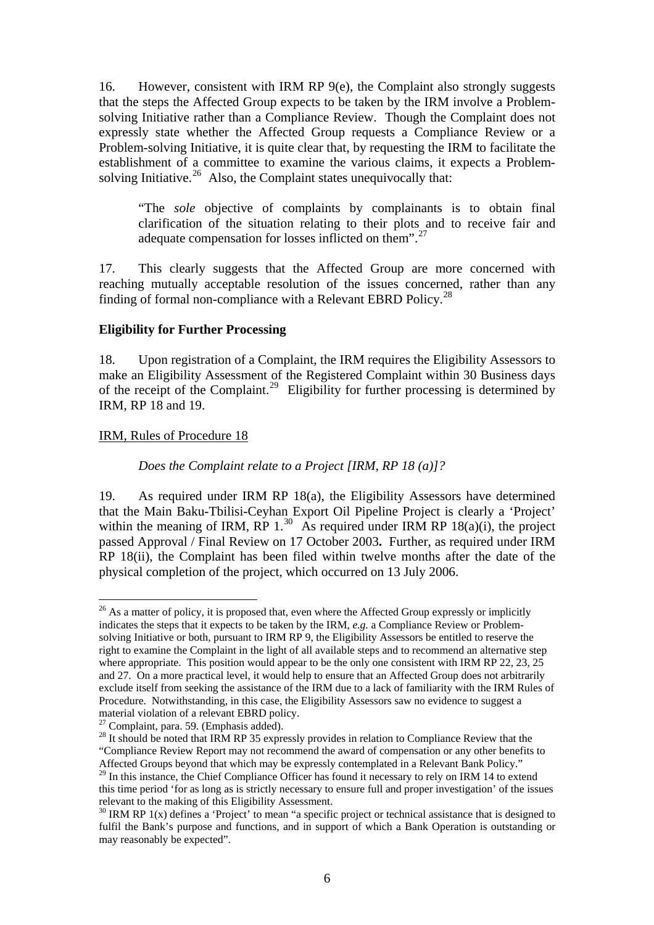16. However, consistent with IRM RP 9(e), the Complaint also strongly suggests that the steps the Affected Group expects to be taken by the IRM involve a Problemsolving Initiative rather than a Compliance Review. Though the Complaint does not expressly state whether the Affected Group requests a Compliance Review or a Problem-solving Initiative, it is quite clear that, by requesting the IRM to facilitate the establishment of a committee to examine the various claims, it expects a Problem-solving Initiative.<sup>[26](#page-5-0)</sup> Also, the Complaint states unequivocally that:

"The *sole* objective of complaints by complainants is to obtain final clarification of the situation relating to their plots and to receive fair and adequate compensation for losses inflicted on them".[27](#page-5-1)

17. This clearly suggests that the Affected Group are more concerned with reaching mutually acceptable resolution of the issues concerned, rather than any finding of formal non-compliance with a Relevant EBRD Policy.<sup>[28](#page-5-2)</sup>

## **Eligibility for Further Processing**

18. Upon registration of a Complaint, the IRM requires the Eligibility Assessors to make an Eligibility Assessment of the Registered Complaint within 30 Business days of the receipt of the Complaint.<sup>[29](#page-5-3)</sup> Eligibility for further processing is determined by IRM, RP 18 and 19.

#### IRM, Rules of Procedure 18

 $\overline{a}$ 

## *Does the Complaint relate to a Project [IRM, RP 18 (a)]?*

19. As required under IRM RP 18(a), the Eligibility Assessors have determined that the Main Baku-Tbilisi-Ceyhan Export Oil Pipeline Project is clearly a 'Project' within the meaning of IRM, RP  $1.^{30}$  $1.^{30}$  $1.^{30}$  As required under IRM RP  $18(a)(i)$ , the project passed Approval / Final Review on 17 October 2003**.** Further, as required under IRM RP 18(ii), the Complaint has been filed within twelve months after the date of the physical completion of the project, which occurred on 13 July 2006.

<span id="page-5-0"></span> $^{26}$  As a matter of policy, it is proposed that, even where the Affected Group expressly or implicitly indicates the steps that it expects to be taken by the IRM, *e.g.* a Compliance Review or Problemsolving Initiative or both, pursuant to IRM RP 9, the Eligibility Assessors be entitled to reserve the right to examine the Complaint in the light of all available steps and to recommend an alternative step where appropriate. This position would appear to be the only one consistent with IRM RP 22, 23, 25 and 27. On a more practical level, it would help to ensure that an Affected Group does not arbitrarily exclude itself from seeking the assistance of the IRM due to a lack of familiarity with the IRM Rules of Procedure. Notwithstanding, in this case, the Eligibility Assessors saw no evidence to suggest a material violation of a relevant EBRD policy.

<span id="page-5-1"></span> $27$  Complaint, para. 59. (Emphasis added).

<span id="page-5-2"></span><sup>&</sup>lt;sup>28</sup> It should be noted that IRM RP 35 expressly provides in relation to Compliance Review that the "Compliance Review Report may not recommend the award of compensation or any other benefits to Affected Groups beyond that which may be expressly contemplated in a Relevant Bank Policy."

<span id="page-5-3"></span><sup>&</sup>lt;sup>29</sup> In this instance, the Chief Compliance Officer has found it necessary to rely on IRM 14 to extend this time period 'for as long as is strictly necessary to ensure full and proper investigation' of the issues relevant to the making of this Eligibility Assessment.

<span id="page-5-4"></span> $30$  IRM RP 1(x) defines a 'Project' to mean "a specific project or technical assistance that is designed to fulfil the Bank's purpose and functions, and in support of which a Bank Operation is outstanding or may reasonably be expected".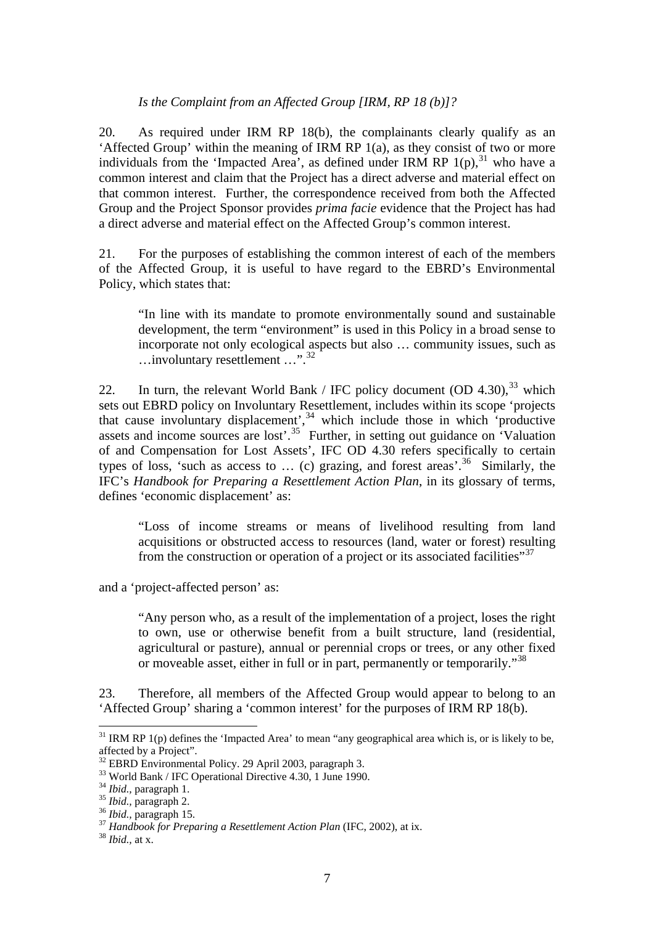### *Is the Complaint from an Affected Group [IRM, RP 18 (b)]?*

20. As required under IRM RP 18(b), the complainants clearly qualify as an 'Affected Group' within the meaning of IRM RP 1(a), as they consist of two or more individuals from the 'Impacted Area', as defined under IRM RP  $1(p)$ ,<sup>[31](#page-6-0)</sup> who have a common interest and claim that the Project has a direct adverse and material effect on that common interest. Further, the correspondence received from both the Affected Group and the Project Sponsor provides *prima facie* evidence that the Project has had a direct adverse and material effect on the Affected Group's common interest.

21. For the purposes of establishing the common interest of each of the members of the Affected Group, it is useful to have regard to the EBRD's Environmental Policy, which states that:

"In line with its mandate to promote environmentally sound and sustainable development, the term "environment" is used in this Policy in a broad sense to incorporate not only ecological aspects but also … community issues, such as …involuntary resettlement …".[32](#page-6-1)

22. In turn, the relevant World Bank / IFC policy document  $(OD 4.30),<sup>33</sup>$  $(OD 4.30),<sup>33</sup>$  $(OD 4.30),<sup>33</sup>$  which sets out EBRD policy on Involuntary Resettlement, includes within its scope 'projects that cause involuntary displacement',  $34$  which include those in which 'productive assets and income sources are lost'.<sup>[35](#page-6-4)</sup> Further, in setting out guidance on 'Valuation of and Compensation for Lost Assets', IFC OD 4.30 refers specifically to certain types of loss, 'such as access to ... (c) grazing, and forest areas'.<sup>[36](#page-6-5)</sup> Similarly, the IFC's *Handbook for Preparing a Resettlement Action Plan*, in its glossary of terms, defines 'economic displacement' as:

"Loss of income streams or means of livelihood resulting from land acquisitions or obstructed access to resources (land, water or forest) resulting from the construction or operation of a project or its associated facilities<sup>"[37](#page-6-6)</sup>

and a 'project-affected person' as:

"Any person who, as a result of the implementation of a project, loses the right to own, use or otherwise benefit from a built structure, land (residential, agricultural or pasture), annual or perennial crops or trees, or any other fixed or moveable asset, either in full or in part, permanently or temporarily."<sup>[38](#page-6-7)</sup>

23. Therefore, all members of the Affected Group would appear to belong to an 'Affected Group' sharing a 'common interest' for the purposes of IRM RP 18(b).

<span id="page-6-0"></span> $31$  IRM RP 1(p) defines the 'Impacted Area' to mean "any geographical area which is, or is likely to be, affected by a Project".

<sup>32</sup> EBRD Environmental Policy. 29 April 2003, paragraph 3.

<span id="page-6-2"></span><span id="page-6-1"></span><sup>&</sup>lt;sup>33</sup> World Bank / IFC Operational Directive 4.30, 1 June 1990.<br><sup>34</sup> *Ibid.*. paragraph 1.

<span id="page-6-6"></span>

<span id="page-6-5"></span><span id="page-6-4"></span><span id="page-6-3"></span><sup>&</sup>lt;sup>35</sup> *Ibid., paragraph 2.*<br><sup>36</sup> *Ibid., paragraph 15.*<br><sup>37</sup> *Handbook for Preparing a Resettlement Action Plan* (IFC, 2002), at ix. <sup>38</sup> *Ibid.,* at x.

<span id="page-6-7"></span>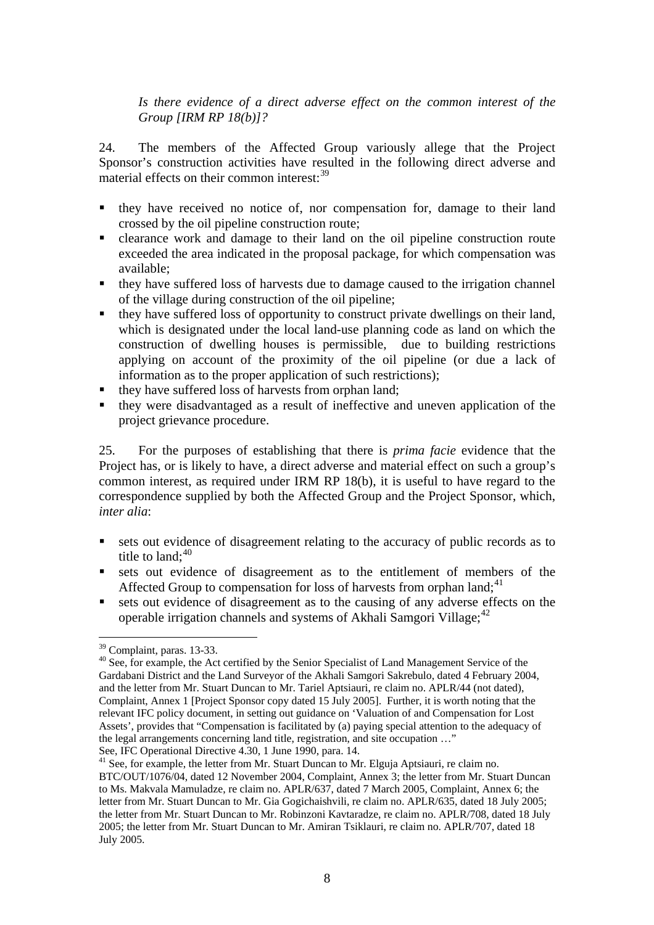*Is there evidence of a direct adverse effect on the common interest of the Group [IRM RP 18(b)]?* 

24. The members of the Affected Group variously allege that the Project Sponsor's construction activities have resulted in the following direct adverse and material effects on their common interest: $39$ 

- they have received no notice of, nor compensation for, damage to their land crossed by the oil pipeline construction route;
- clearance work and damage to their land on the oil pipeline construction route exceeded the area indicated in the proposal package, for which compensation was available;
- they have suffered loss of harvests due to damage caused to the irrigation channel of the village during construction of the oil pipeline;
- they have suffered loss of opportunity to construct private dwellings on their land, which is designated under the local land-use planning code as land on which the construction of dwelling houses is permissible, due to building restrictions applying on account of the proximity of the oil pipeline (or due a lack of information as to the proper application of such restrictions);
- they have suffered loss of harvests from orphan land;
- they were disadvantaged as a result of ineffective and uneven application of the project grievance procedure.

25. For the purposes of establishing that there is *prima facie* evidence that the Project has, or is likely to have, a direct adverse and material effect on such a group's common interest, as required under IRM RP 18(b), it is useful to have regard to the correspondence supplied by both the Affected Group and the Project Sponsor, which, *inter alia*:

- sets out evidence of disagreement relating to the accuracy of public records as to title to land; $^{40}$
- sets out evidence of disagreement as to the entitlement of members of the Affected Group to compensation for loss of harvests from orphan land;<sup>41</sup>
- sets out evidence of disagreement as to the causing of any adverse effects on the operable irrigation channels and systems of Akhali Samgori Village;  $42$

<sup>&</sup>lt;sup>39</sup> Complaint, paras. 13-33.

<sup>&</sup>lt;sup>40</sup> See, for example, the Act certified by the Senior Specialist of Land Management Service of the Gardabani District and the Land Surveyor of the Akhali Samgori Sakrebulo, dated 4 February 2004, and the letter from Mr. Stuart Duncan to Mr. Tariel Aptsiauri, re claim no. APLR/44 (not dated), Complaint, Annex 1 [Project Sponsor copy dated 15 July 2005]. Further, it is worth noting that the relevant IFC policy document, in setting out guidance on 'Valuation of and Compensation for Lost Assets', provides that "Compensation is facilitated by (a) paying special attention to the adequacy of the legal arrangements concerning land title, registration, and site occupation …"

See, IFC Operational Directive 4.30, 1 June 1990, para. 14.

<sup>&</sup>lt;sup>41</sup> See, for example, the letter from Mr. Stuart Duncan to Mr. Elguja Aptsiauri, re claim no. BTC/OUT/1076/04, dated 12 November 2004, Complaint, Annex 3; the letter from Mr. Stuart Duncan to Ms. Makvala Mamuladze, re claim no. APLR/637, dated 7 March 2005, Complaint, Annex 6; the letter from Mr. Stuart Duncan to Mr. Gia Gogichaishvili, re claim no. APLR/635, dated 18 July 2005; the letter from Mr. Stuart Duncan to Mr. Robinzoni Kavtaradze, re claim no. APLR/708, dated 18 July 2005; the letter from Mr. Stuart Duncan to Mr. Amiran Tsiklauri, re claim no. APLR/707, dated 18 July 2005.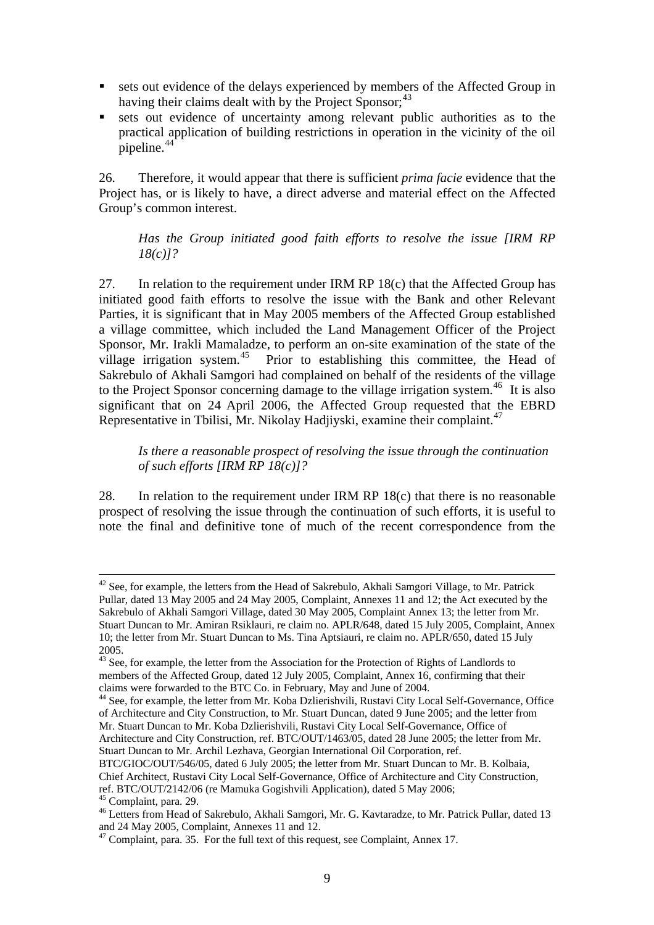- sets out evidence of the delays experienced by members of the Affected Group in having their claims dealt with by the Project Sponsor;<sup>43</sup>
- sets out evidence of uncertainty among relevant public authorities as to the practical application of building restrictions in operation in the vicinity of the oil  $p$ ipeline. $44$ <sup>\*</sup>

26. Therefore, it would appear that there is sufficient *prima facie* evidence that the Project has, or is likely to have, a direct adverse and material effect on the Affected Group's common interest.

## *Has the Group initiated good faith efforts to resolve the issue [IRM RP 18(c)]?*

27. In relation to the requirement under IRM RP 18(c) that the Affected Group has initiated good faith efforts to resolve the issue with the Bank and other Relevant Parties, it is significant that in May 2005 members of the Affected Group established a village committee, which included the Land Management Officer of the Project Sponsor, Mr. Irakli Mamaladze, to perform an on-site examination of the state of the village irrigation system. $45$  Prior to establishing this committee, the Head of Sakrebulo of Akhali Samgori had complained on behalf of the residents of the village to the Project Sponsor concerning damage to the village irrigation system.<sup>46</sup> It is also significant that on  $24$  April 2006, the Affected Group requested that the EBRD Representative in Tbilisi, Mr. Nikolay Hadjiyski, examine their complaint.<sup>47</sup>

*Is there a reasonable prospect of resolving the issue through the continuation of such efforts [IRM RP 18(c)]?* 

28. In relation to the requirement under IRM RP 18(c) that there is no reasonable prospect of resolving the issue through the continuation of such efforts, it is useful to note the final and definitive tone of much of the recent correspondence from the

 $42$  See, for example, the letters from the Head of Sakrebulo, Akhali Samgori Village, to Mr. Patrick Pullar, dated 13 May 2005 and 24 May 2005, Complaint, Annexes 11 and 12; the Act executed by the Sakrebulo of Akhali Samgori Village, dated 30 May 2005, Complaint Annex 13; the letter from Mr. Stuart Duncan to Mr. Amiran Rsiklauri, re claim no. APLR/648, dated 15 July 2005, Complaint, Annex 10; the letter from Mr. Stuart Duncan to Ms. Tina Aptsiauri, re claim no. APLR/650, dated 15 July 2005.

<sup>&</sup>lt;sup>43</sup> See, for example, the letter from the Association for the Protection of Rights of Landlords to members of the Affected Group, dated 12 July 2005, Complaint, Annex 16, confirming that their claims were forwarded to the BTC Co. in February, May and June of 2004.

<sup>&</sup>lt;sup>44</sup> See, for example, the letter from Mr. Koba Dzlierishvili, Rustavi City Local Self-Governance, Office of Architecture and City Construction, to Mr. Stuart Duncan, dated 9 June 2005; and the letter from Mr. Stuart Duncan to Mr. Koba Dzlierishvili, Rustavi City Local Self-Governance, Office of Architecture and City Construction, ref. BTC/OUT/1463/05, dated 28 June 2005; the letter from Mr. Stuart Duncan to Mr. Archil Lezhava, Georgian International Oil Corporation, ref.

BTC/GIOC/OUT/546/05, dated 6 July 2005; the letter from Mr. Stuart Duncan to Mr. B. Kolbaia, Chief Architect, Rustavi City Local Self-Governance, Office of Architecture and City Construction, ref. BTC/OUT/2142/06 (re Mamuka Gogishvili Application), dated 5 May 2006; <sup>45</sup> Complaint, para. 29.

<sup>&</sup>lt;sup>46</sup> Letters from Head of Sakrebulo, Akhali Samgori, Mr. G. Kavtaradze, to Mr. Patrick Pullar, dated 13 and 24 May 2005, Complaint, Annexes 11 and 12.

 $47$  Complaint, para. 35. For the full text of this request, see Complaint, Annex 17.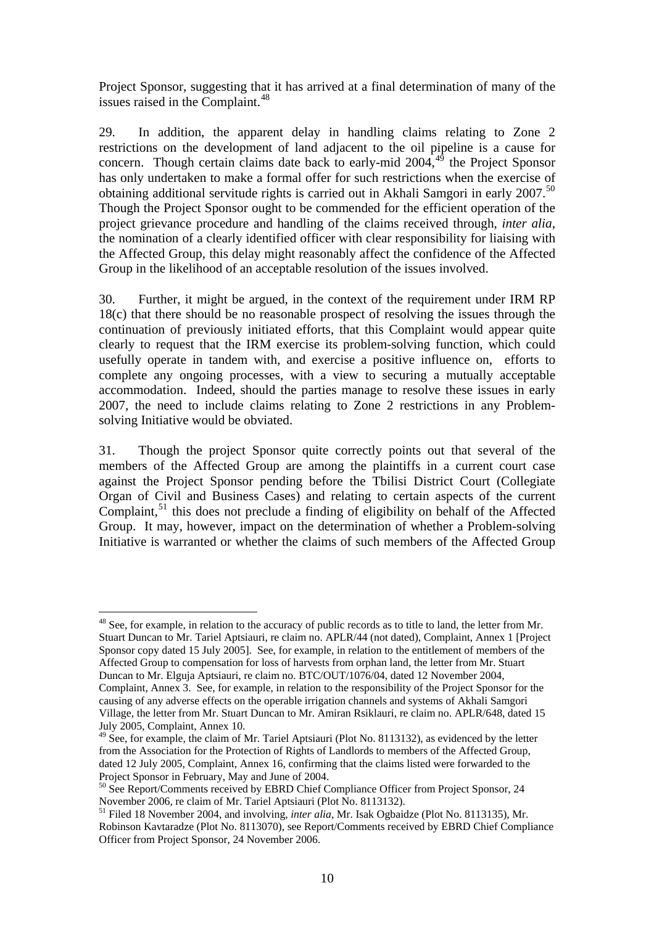Project Sponsor, suggesting that it has arrived at a final determination of many of the issues raised in the Complaint.<sup>[48](#page-9-0)</sup>

29. In addition, the apparent delay in handling claims relating to Zone 2 restrictions on the development of land adjacent to the oil pipeline is a cause for concern. Though certain claims date back to early-mid 2004,<sup>[49](#page-9-1)</sup> the Project Sponsor has only undertaken to make a formal offer for such restrictions when the exercise of obtaining additional servitude rights is carried out in Akhali Samgori in early 2007.[50](#page-9-2) Though the Project Sponsor ought to be commended for the efficient operation of the project grievance procedure and handling of the claims received through, *inter alia*, the nomination of a clearly identified officer with clear responsibility for liaising with the Affected Group, this delay might reasonably affect the confidence of the Affected Group in the likelihood of an acceptable resolution of the issues involved.

30. Further, it might be argued, in the context of the requirement under IRM RP 18(c) that there should be no reasonable prospect of resolving the issues through the continuation of previously initiated efforts, that this Complaint would appear quite clearly to request that the IRM exercise its problem-solving function, which could usefully operate in tandem with, and exercise a positive influence on, efforts to complete any ongoing processes, with a view to securing a mutually acceptable accommodation. Indeed, should the parties manage to resolve these issues in early 2007, the need to include claims relating to Zone 2 restrictions in any Problemsolving Initiative would be obviated.

31. Though the project Sponsor quite correctly points out that several of the members of the Affected Group are among the plaintiffs in a current court case against the Project Sponsor pending before the Tbilisi District Court (Collegiate Organ of Civil and Business Cases) and relating to certain aspects of the current Complaint, $51$  this does not preclude a finding of eligibility on behalf of the Affected Group. It may, however, impact on the determination of whether a Problem-solving Initiative is warranted or whether the claims of such members of the Affected Group

<span id="page-9-0"></span><sup>&</sup>lt;sup>48</sup> See, for example, in relation to the accuracy of public records as to title to land, the letter from Mr. Stuart Duncan to Mr. Tariel Aptsiauri, re claim no. APLR/44 (not dated), Complaint, Annex 1 [Project Sponsor copy dated 15 July 2005]. See, for example, in relation to the entitlement of members of the Affected Group to compensation for loss of harvests from orphan land, the letter from Mr. Stuart Duncan to Mr. Elguja Aptsiauri, re claim no. BTC/OUT/1076/04, dated 12 November 2004, Complaint, Annex 3. See, for example, in relation to the responsibility of the Project Sponsor for the causing of any adverse effects on the operable irrigation channels and systems of Akhali Samgori Village, the letter from Mr. Stuart Duncan to Mr. Amiran Rsiklauri, re claim no. APLR/648, dated 15 July 2005, Complaint, Annex 10.

<span id="page-9-1"></span><sup>&</sup>lt;sup>49</sup> See, for example, the claim of Mr. Tariel Aptsiauri (Plot No. 8113132), as evidenced by the letter from the Association for the Protection of Rights of Landlords to members of the Affected Group, dated 12 July 2005, Complaint, Annex 16, confirming that the claims listed were forwarded to the Project Sponsor in February, May and June of 2004.

<span id="page-9-2"></span><sup>&</sup>lt;sup>50</sup> See Report/Comments received by EBRD Chief Compliance Officer from Project Sponsor, 24 November 2006, re claim of Mr. Tariel Aptsiauri (Plot No. 8113132).

<span id="page-9-3"></span><sup>&</sup>lt;sup>51</sup> Filed 18 November 2004, and involving, *inter alia*, Mr. Isak Ogbaidze (Plot No. 8113135), Mr. Robinson Kavtaradze (Plot No. 8113070), see Report/Comments received by EBRD Chief Compliance Officer from Project Sponsor, 24 November 2006.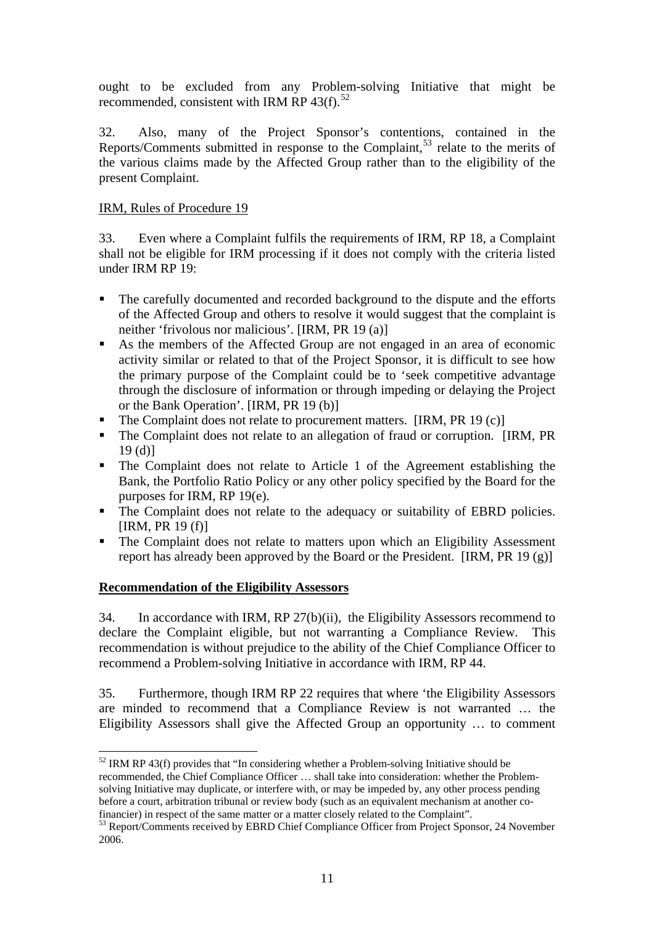ought to be excluded from any Problem-solving Initiative that might be recommended, consistent with IRM RP  $43(f)$ .<sup>52</sup>

32. Also, many of the Project Sponsor's contentions, contained in the Reports/Comments submitted in response to the Complaint,<sup>53</sup> relate to the merits of the various claims made by the Affected Group rather than to the eligibility of the present Complaint.

## IRM, Rules of Procedure 19

33. Even where a Complaint fulfils the requirements of IRM, RP 18, a Complaint shall not be eligible for IRM processing if it does not comply with the criteria listed under IRM RP 19:

- The carefully documented and recorded background to the dispute and the efforts of the Affected Group and others to resolve it would suggest that the complaint is neither 'frivolous nor malicious'. [IRM, PR 19 (a)]
- As the members of the Affected Group are not engaged in an area of economic activity similar or related to that of the Project Sponsor, it is difficult to see how the primary purpose of the Complaint could be to 'seek competitive advantage through the disclosure of information or through impeding or delaying the Project or the Bank Operation'. [IRM, PR 19 (b)]
- The Complaint does not relate to procurement matters. [IRM, PR 19 (c)]
- The Complaint does not relate to an allegation of fraud or corruption. [IRM, PR 19 (d)]
- The Complaint does not relate to Article 1 of the Agreement establishing the Bank, the Portfolio Ratio Policy or any other policy specified by the Board for the purposes for IRM, RP 19(e).
- The Complaint does not relate to the adequacy or suitability of EBRD policies.  $[IRM, PR 19 (f)]$
- The Complaint does not relate to matters upon which an Eligibility Assessment report has already been approved by the Board or the President. [IRM, PR 19 (g)]

## <sup>U</sup>**Recommendation of the Eligibility Assessors**

 $\overline{a}$ 

34. In accordance with IRM, RP 27(b)(ii), the Eligibility Assessors recommend to declare the Complaint eligible, but not warranting a Compliance Review. This recommendation is without prejudice to the ability of the Chief Compliance Officer to recommend a Problem-solving Initiative in accordance with IRM, RP 44.

35. Furthermore, though IRM RP 22 requires that where 'the Eligibility Assessors are minded to recommend that a Compliance Review is not warranted … the Eligibility Assessors shall give the Affected Group an opportunity … to comment

 $52$  IRM RP 43(f) provides that "In considering whether a Problem-solving Initiative should be recommended, the Chief Compliance Officer … shall take into consideration: whether the Problemsolving Initiative may duplicate, or interfere with, or may be impeded by, any other process pending before a court, arbitration tribunal or review body (such as an equivalent mechanism at another cofinancier) in respect of the same matter or a matter closely related to the Complaint".

<sup>&</sup>lt;sup>53</sup> Report/Comments received by EBRD Chief Compliance Officer from Project Sponsor, 24 November 2006.